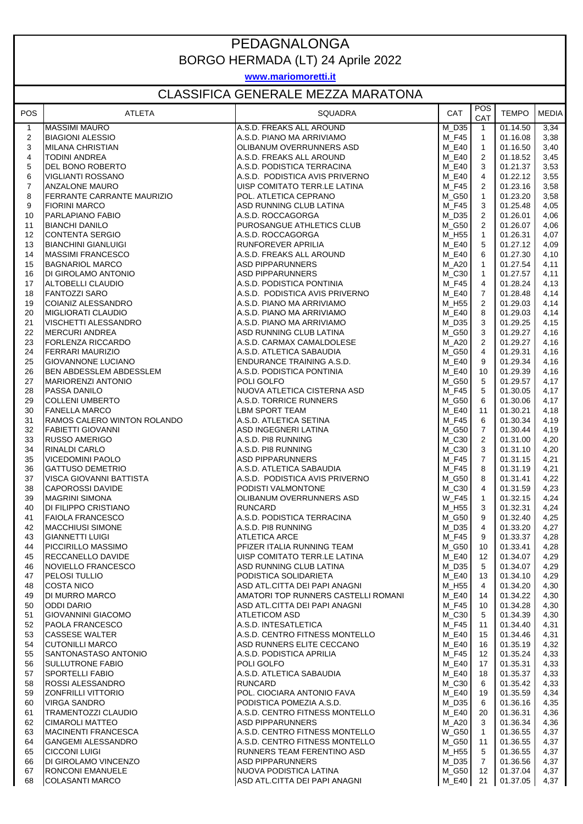## PEDAGNALONGA BORGO HERMADA (LT) 24 Aprile 2022

**www.mariomoretti.it**

## CLASSIFICA GENERALE MEZZA MARATONA

| POS                     | <b>ATLETA</b>                                          | SQUADRA                                                    | CAT                   | <b>POS</b><br>CAT | <b>TEMPO</b>         | <b>MEDIA</b> |
|-------------------------|--------------------------------------------------------|------------------------------------------------------------|-----------------------|-------------------|----------------------|--------------|
| $\mathbf{1}$            | <b>MASSIMI MAURO</b>                                   | A.S.D. FREAKS ALL AROUND                                   | M D35                 | $\mathbf{1}$      | 01.14.50             | 3,34         |
| $\overline{\mathbf{c}}$ | <b>BIAGIONI ALESSIO</b>                                | A.S.D. PIANO MA ARRIVIAMO                                  | M F45                 | $\mathbf{1}$      | 01.16.08             | 3,38         |
| 3                       | <b>MILANA CHRISTIAN</b>                                | OLIBANUM OVERRUNNERS ASD                                   | $M_E40$               | $\mathbf{1}$      | 01.16.50             | 3,40         |
| 4<br>5                  | <b>TODINI ANDREA</b><br>DEL BONO ROBERTO               | A.S.D. FREAKS ALL AROUND<br>A.S.D. PODISTICA TERRACINA     | M E40<br>M E40        | 2<br>3            | 01.18.52<br>01.21.37 | 3,45<br>3,53 |
| 6                       | VIGLIANTI ROSSANO                                      | A.S.D. PODISTICA AVIS PRIVERNO                             | M E40                 | 4                 | 01.22.12             | 3,55         |
| $\overline{7}$          | <b>ANZALONE MAURO</b>                                  | UISP COMITATO TERR.LE LATINA                               | $M_F45$               | 2                 | 01.23.16             | 3,58         |
| 8                       | <b>FERRANTE CARRANTE MAURIZIO</b>                      | POL. ATLETICA CEPRANO                                      | M G50                 | $\mathbf{1}$      | 01.23.20             | 3,58         |
| 9                       | <b>FIORINI MARCO</b>                                   | ASD RUNNING CLUB LATINA                                    | M_F45                 | 3                 | 01.25.48             | 4,05         |
| 10                      | PARLAPIANO FABIO                                       | A.S.D. ROCCAGORGA                                          | $M_D35$               | 2                 | 01.26.01             | 4,06         |
| 11                      | <b>BIANCHI DANILO</b>                                  | PUROSANGUE ATHLETICS CLUB                                  | M G50                 | 2                 | 01.26.07             | 4,06         |
| 12                      | <b>CONTENTA SERGIO</b>                                 | A.S.D. ROCCAGORGA                                          | M H55                 | $\mathbf{1}$      | 01.26.31             | 4,07         |
| 13<br>14                | <b>BIANCHINI GIANLUIGI</b><br><b>MASSIMI FRANCESCO</b> | RUNFOREVER APRILIA<br>A.S.D. FREAKS ALL AROUND             | <b>M_E40</b><br>M E40 | 5<br>6            | 01.27.12<br>01.27.30 | 4,09<br>4,10 |
| 15                      | <b>BAGNARIOL MARCO</b>                                 | <b>ASD PIPPARUNNERS</b>                                    | M A20                 | $\mathbf{1}$      | 01.27.54             | 4,11         |
| 16                      | DI GIROLAMO ANTONIO                                    | <b>ASD PIPPARUNNERS</b>                                    | $M_C30$               | $\overline{1}$    | 01.27.57             | 4,11         |
| 17                      | ALTOBELLI CLAUDIO                                      | A.S.D. PODISTICA PONTINIA                                  | M F45                 | 4                 | 01.28.24             | 4,13         |
| 18                      | <b>FANTOZZI SARO</b>                                   | A.S.D. PODISTICA AVIS PRIVERNO                             | M E40                 | $\overline{7}$    | 01.28.48             | 4,14         |
| 19                      | COIANIZ ALESSANDRO                                     | A.S.D. PIANO MA ARRIVIAMO                                  | M_H55                 | $\overline{2}$    | 01.29.03             | 4,14         |
| 20                      | <b>MIGLIORATI CLAUDIO</b>                              | A.S.D. PIANO MA ARRIVIAMO                                  | M E40                 | 8                 | 01.29.03             | 4,14         |
| 21                      | <b>VISCHETTI ALESSANDRO</b>                            | A.S.D. PIANO MA ARRIVIAMO                                  | $M_D35$               | 3                 | 01.29.25             | 4,15         |
| 22                      | <b>MERCURI ANDREA</b>                                  | ASD RUNNING CLUB LATINA                                    | M_G50                 | 3                 | 01.29.27             | 4,16         |
| 23<br>24                | <b>FORLENZA RICCARDO</b><br><b>FERRARI MAURIZIO</b>    | A.S.D. CARMAX CAMALDOLESE<br>A.S.D. ATLETICA SABAUDIA      | M_A20<br>M G50        | 2<br>4            | 01.29.27<br>01.29.31 | 4,16<br>4,16 |
| 25                      | <b>GIOVANNONE LUCIANO</b>                              | ENDURANCE TRAINING A.S.D.                                  | <b>M_E40</b>          | 9                 | 01.29.34             | 4,16         |
| 26                      | BEN ABDESSLEM ABDESSLEM                                | A.S.D. PODISTICA PONTINIA                                  | M E40                 | 10                | 01.29.39             | 4,16         |
| 27                      | <b>MARIORENZI ANTONIO</b>                              | POLI GOLFO                                                 | M G50                 | 5                 | 01.29.57             | 4,17         |
| 28                      | <b>PASSA DANILO</b>                                    | NUOVA ATLETICA CISTERNA ASD                                | M_F45                 | 5                 | 01.30.05             | 4,17         |
| 29                      | <b>COLLENI UMBERTO</b>                                 | A.S.D. TORRICE RUNNERS                                     | M G50                 | 6                 | 01.30.06             | 4,17         |
| 30                      | <b>FANELLA MARCO</b>                                   | <b>LBM SPORT TEAM</b>                                      | M_E40                 | 11                | 01.30.21             | 4,18         |
| 31                      | RAMOS CALERO WINTON ROLANDO                            | A.S.D. ATLETICA SETINA                                     | $M_F45$               | 6                 | 01.30.34             | 4,19         |
| 32                      | <b>FABIETTI GIOVANNI</b>                               | ASD INGEGNERI LATINA                                       | M G50<br>M_C30        | $\overline{7}$    | 01.30.44<br>01.31.00 | 4,19         |
| 33<br>34                | <b>RUSSO AMERIGO</b><br><b>RINALDI CARLO</b>           | A.S.D. PI8 RUNNING<br>A.S.D. PI8 RUNNING                   | M_C30                 | 2<br>3            | 01.31.10             | 4,20<br>4,20 |
| 35                      | <b>VICEDOMINI PAOLO</b>                                | <b>ASD PIPPARUNNERS</b>                                    | M_F45                 | $\overline{7}$    | 01.31.15             | 4,21         |
| 36                      | <b>GATTUSO DEMETRIO</b>                                | A.S.D. ATLETICA SABAUDIA                                   | M_F45                 | 8                 | 01.31.19             | 4,21         |
| 37                      | VISCA GIOVANNI BATTISTA                                | A.S.D. PODISTICA AVIS PRIVERNO                             | M_G50                 | 8                 | 01.31.41             | 4,22         |
| 38                      | <b>CAPOROSSI DAVIDE</b>                                | PODISTI VALMONTONE                                         | $M_C30$               | 4                 | 01.31.59             | 4,23         |
| 39                      | <b>MAGRINI SIMONA</b>                                  | OLIBANUM OVERRUNNERS ASD                                   | <b>W_F45</b>          | $\mathbf{1}$      | 01.32.15             | 4,24         |
| 40                      | DI FILIPPO CRISTIANO                                   | <b>RUNCARD</b>                                             | M_H55                 | 3                 | 01.32.31             | 4,24         |
| 41<br>42                | <b>FAIOLA FRANCESCO</b><br><b>MACCHIUSI SIMONE</b>     | A.S.D. PODISTICA TERRACINA<br>A.S.D. PI8 RUNNING           | M_G50<br>M_D35        | 9<br>4            | 01.32.40<br>01.33.20 | 4,25<br>4,27 |
| 43                      | <b>GIANNETTI LUIGI</b>                                 | <b>ATLETICA ARCE</b>                                       | <b>M_F45</b>          | 9                 | 01.33.37             | 4,28         |
| 44                      | <b>PICCIRILLO MASSIMO</b>                              | PFIZER ITALIA RUNNING TEAM                                 | M_G50                 | 10                | 01.33.41             | 4,28         |
| 45                      | <b>RECCANELLO DAVIDE</b>                               | UISP COMITATO TERR.LE LATINA                               | <b>M_E40</b>          | 12                | 01.34.07             | 4,29         |
| 46                      | NOVIELLO FRANCESCO                                     | ASD RUNNING CLUB LATINA                                    | $M_D35$               | 5                 | 01.34.07             | 4,29         |
| 47                      | <b>PELOSI TULLIO</b>                                   | PODISTICA SOLIDARIETA                                      | <b>M_E40</b>          | 13                | 01.34.10             | 4,29         |
| 48                      | <b>COSTA NICO</b>                                      | ASD ATL.CITTA DEI PAPI ANAGNI                              | M H55                 | $\overline{4}$    | 01.34.20             | 4,30         |
| 49                      | <b>DI MURRO MARCO</b>                                  | AMATORI TOP RUNNERS CASTELLI ROMANI                        | M E40                 | 14                | 01.34.22             | 4,30         |
| 50                      | <b>ODDI DARIO</b>                                      | ASD ATL.CITTA DEI PAPI ANAGNI                              | M_F45                 | 10                | 01.34.28             | 4,30         |
| 51<br>52                | <b>GIOVANNINI GIACOMO</b><br><b>PAOLA FRANCESCO</b>    | <b>ATLETICOM ASD</b><br>A.S.D. INTESATLETICA               | $M_C30$<br>$M_F45$    | 5<br>11           | 01.34.39<br>01.34.40 | 4,30<br>4,31 |
| 53                      | <b>CASSESE WALTER</b>                                  | A.S.D. CENTRO FITNESS MONTELLO                             | $M_E40$               | 15                | 01.34.46             | 4,31         |
| 54                      | <b>CUTONILLI MARCO</b>                                 | ASD RUNNERS ELITE CECCANO                                  | <b>M_E40</b>          | 16                | 01.35.19             | 4,32         |
| 55                      | SANTONASTASO ANTONIO                                   | A.S.D. PODISTICA APRILIA                                   | M F45                 | 12                | 01.35.24             | 4,33         |
| 56                      | <b>SULLUTRONE FABIO</b>                                | POLI GOLFO                                                 | $M_E40$               | 17                | 01.35.31             | 4,33         |
| 57                      | <b>SPORTELLI FABIO</b>                                 | A.S.D. ATLETICA SABAUDIA                                   | $M_E40$               | 18                | 01.35.37             | 4,33         |
| 58                      | <b>ROSSI ALESSANDRO</b>                                | <b>RUNCARD</b>                                             | $M_C30$               | 6                 | 01.35.42             | 4,33         |
| 59                      | <b>ZONFRILLI VITTORIO</b>                              | POL. CIOCIARA ANTONIO FAVA                                 | <b>M_E40</b>          | 19                | 01.35.59             | 4,34         |
| 60<br>61                | <b>VIRGA SANDRO</b><br><b>TRAMENTOZZI CLAUDIO</b>      | PODISTICA POMEZIA A.S.D.<br>A.S.D. CENTRO FITNESS MONTELLO | $M_D35$<br>M_E40      | 6<br>20           | 01.36.16<br>01.36.31 | 4,35         |
| 62                      | <b>CIMAROLI MATTEO</b>                                 | <b>ASD PIPPARUNNERS</b>                                    | M_A20                 | 3                 | 01.36.34             | 4,36<br>4,36 |
| 63                      | <b>MACINENTI FRANCESCA</b>                             | A.S.D. CENTRO FITNESS MONTELLO                             | <b>W_G50</b>          | $\overline{1}$    | 01.36.55             | 4,37         |
| 64                      | <b>GANGEMI ALESSANDRO</b>                              | A.S.D. CENTRO FITNESS MONTELLO                             | M G50                 | 11                | 01.36.55             | 4,37         |
| 65                      | <b>CICCONI LUIGI</b>                                   | RUNNERS TEAM FERENTINO ASD                                 | M_H55                 | 5                 | 01.36.55             | 4,37         |
| 66                      | DI GIROLAMO VINCENZO                                   | <b>ASD PIPPARUNNERS</b>                                    | M_D35                 | $\overline{7}$    | 01.36.56             | 4,37         |
| 67                      | <b>RONCONI EMANUELE</b>                                | NUOVA PODISTICA LATINA                                     | $M_G50$               | 12                | 01.37.04             | 4,37         |
| 68                      | <b>COLASANTI MARCO</b>                                 | ASD ATL.CITTA DEI PAPI ANAGNI                              | M_E40                 | 21                | 01.37.05             | 4,37         |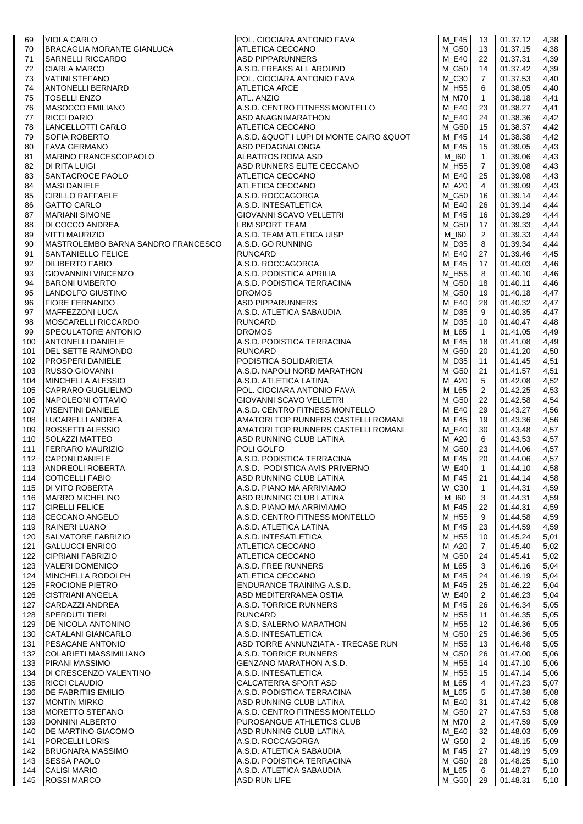| 69  | <b>VIOLA CARLO</b>                 | POL. CIOCIARA ANTONIO FAVA                                                                               | M_F45        | 13             | 01.37.12 | 4,38 |
|-----|------------------------------------|----------------------------------------------------------------------------------------------------------|--------------|----------------|----------|------|
| 70  | BRACAGLIA MORANTE GIANLUCA         | ASD PIPPARUNNERS<br>A.S.D. FREAKS ALL AROUND<br>POL. CIOCIARA ANTONIO FAVA<br>ATLETICA ARCE<br>ATL ANTER | M G50        | 13             | 01.37.15 | 4,38 |
| 71  | <b>SARNELLI RICCARDO</b>           |                                                                                                          | $M_E40$      | 22             | 01.37.31 | 4,39 |
| 72  | <b>CIARLA MARCO</b>                |                                                                                                          | M G50        | 14             | 01.37.42 | 4,39 |
| 73  | <b>VATINI STEFANO</b>              |                                                                                                          | M C30        | $\overline{7}$ | 01.37.53 | 4,40 |
| 74  | <b>ANTONELLI BERNARD</b>           |                                                                                                          | M_H55        | 6              | 01.38.05 | 4,40 |
| 75  | <b>TOSELLI ENZO</b>                | ATL. ANZIO                                                                                               | M_M70        | $\mathbf{1}$   | 01.38.18 | 4,41 |
| 76  | <b>MASOCCO EMILIANO</b>            | A.S.D. CENTRO FITNESS MONTELLO                                                                           | M E40        | 23             | 01.38.27 | 4,41 |
| 77  | <b>RICCI DARIO</b>                 | ASD ANAGNIMARATHON                                                                                       | M_E40        | 24             | 01.38.36 | 4,42 |
| 78  | LANCELLOTTI CARLO                  | ATLETICA CECCANO                                                                                         | M G50        | 15             | 01.38.37 | 4,42 |
| 79  | <b>SOFIA ROBERTO</b>               | A.S.D. & QUOT I LUPI DI MONTE CAIRO & QUOT                                                               | M F45        | 14             | 01.38.38 | 4,42 |
| 80  | <b>FAVA GERMANO</b>                | ASD PEDAGNALONGA                                                                                         | M_F45        | 15             | 01.39.05 | 4,43 |
| 81  | <b>MARINO FRANCESCOPAOLO</b>       | ALBATROS ROMA ASD                                                                                        | M 160        | $\mathbf{1}$   | 01.39.06 | 4,43 |
| 82  | <b>DI RITA LUIGI</b>               | ASD RUNNERS ELITE CECCANO                                                                                | M_H55        | 7              | 01.39.08 | 4,43 |
| 83  | SANTACROCE PAOLO                   | ATLETICA CECCANO                                                                                         | M E40        | 25             | 01.39.08 | 4,43 |
| 84  | <b>MASI DANIELE</b>                | ATLETICA CECCANO                                                                                         | <b>M_A20</b> | $\overline{4}$ | 01.39.09 | 4,43 |
| 85  | <b>CIRILLO RAFFAELE</b>            | A.S.D. ROCCAGORGA                                                                                        | M G50        | 16             | 01.39.14 | 4,44 |
|     | <b>GATTO CARLO</b>                 | A.S.D. INTESATLETICA                                                                                     | M E40        |                | 01.39.14 | 4,44 |
| 86  |                                    |                                                                                                          | $M_F45$      | 26             | 01.39.29 |      |
| 87  | <b>MARIANI SIMONE</b>              | GIOVANNI SCAVO VELLETRI                                                                                  |              | 16             |          | 4,44 |
| 88  | DI COCCO ANDREA                    | LBM SPORT TEAM                                                                                           | M_G50        | 17             | 01.39.33 | 4,44 |
| 89  | <b>VITTI MAURIZIO</b>              | A.S.D. TEAM ATLETICA UISP                                                                                | M 160        | 2              | 01.39.33 | 4,44 |
| 90  | MASTROLEMBO BARNA SANDRO FRANCESCO | A.S.D. GO RUNNING                                                                                        | $M_D35$      | 8              | 01.39.34 | 4,44 |
| 91  | <b>SANTANIELLO FELICE</b>          | <b>RUNCARD</b>                                                                                           | M E40        | 27             | 01.39.46 | 4,45 |
| 92  | <b>DILIBERTO FABIO</b>             | A.S.D. ROCCAGORGA                                                                                        | M F45        | 17             | 01.40.03 | 4,46 |
| 93  | <b>GIOVANNINI VINCENZO</b>         | A.S.D. PODISTICA APRILIA                                                                                 | M_H55        | 8              | 01.40.10 | 4,46 |
| 94  | <b>BARONI UMBERTO</b>              | A.S.D. PODISTICA TERRACINA                                                                               | M_G50        | 18             | 01.40.11 | 4,46 |
| 95  | LANDOLFO GIUSTINO                  | <b>DROMOS</b>                                                                                            | M G50        | 19             | 01.40.18 | 4,47 |
| 96  | <b>FIORE FERNANDO</b>              |                                                                                                          | $M_E40$      | 28             | 01.40.32 | 4,47 |
| 97  | MAFFEZZONI LUCA                    | DROMOS<br>ASD PIPPARUNNERS<br>A.S.D. ATLETICA SABAUDIA                                                   | M_D35        | 9              | 01.40.35 | 4,47 |
| 98  | MOSCARELLI RICCARDO                | <b>RUNCARD</b>                                                                                           | M D35        | 10             | 01.40.47 | 4,48 |
| 99  | <b>SPECULATORE ANTONIO</b>         | <b>DROMOS</b>                                                                                            | $M_L$ 65     | $\overline{1}$ | 01.41.05 | 4,49 |
| 100 | <b>ANTONELLI DANIELE</b>           | A.S.D. PODISTICA TERRACINA                                                                               | M_F45        | 18             | 01.41.08 | 4,49 |
| 101 | DEL SETTE RAIMONDO                 | <b>RUNCARD</b>                                                                                           | M G50        | 20             | 01.41.20 | 4,50 |
| 102 | <b>PROSPERI DANIELE</b>            | PODISTICA SOLIDARIETA                                                                                    | $M_D35$      | 11             | 01.41.45 | 4,51 |
| 103 | <b>RUSSO GIOVANNI</b>              | A.S.D. NAPOLI NORD MARATHON                                                                              | M_G50        | 21             | 01.41.57 | 4,51 |
| 104 | MINCHELLA ALESSIO                  | A.S.D. ATLETICA LATINA                                                                                   | <b>M_A20</b> | 5              | 01.42.08 | 4,52 |
| 105 | CAPRARO GUGLIELMO                  | POL. CIOCIARA ANTONIO FAVA                                                                               | $M_L$ 65     | $\overline{2}$ | 01.42.25 | 4,53 |
| 106 | NAPOLEONI OTTAVIO                  | <b>GIOVANNI SCAVO VELLETRI</b>                                                                           | M G50        | 22             | 01.42.58 | 4,54 |
| 107 | <b>VISENTINI DANIELE</b>           | A.S.D. CENTRO FITNESS MONTELLO                                                                           | M E40        | 29             | 01.43.27 | 4,56 |
| 108 | LUCARELLI ANDREA                   | AMATORI TOP RUNNERS CASTELLI ROMANI                                                                      | M F45        | 19             | 01.43.36 | 4,56 |
| 109 | <b>ROSSETTI ALESSIO</b>            | AMATORI TOP RUNNERS CASTELLI ROMANI                                                                      | $M_E40$      | 30             | 01.43.48 | 4,57 |
| 110 | <b>SOLAZZI MATTEO</b>              | ASD RUNNING CLUB LATINA                                                                                  | M_A20        | 6              | 01.43.53 | 4,57 |
| 111 | <b>FERRARO MAURIZIO</b>            | POLI GOLFO                                                                                               | M_G50        | 23             | 01.44.06 | 4,57 |
| 112 | <b>CAPONI DANIELE</b>              | A.S.D. PODISTICA TERRACINA                                                                               | M_F45        | 20             | 01.44.06 | 4,57 |
| 113 | <b>ANDREOLI ROBERTA</b>            | A.S.D. PODISTICA AVIS PRIVERNO                                                                           | <b>W_E40</b> | $\mathbf{1}$   | 01.44.10 | 4,58 |
| 114 | <b>COTICELLI FABIO</b>             | ASD RUNNING CLUB LATINA                                                                                  | $M_F45$      | 21             | 01.44.14 | 4,58 |
| 115 | <b>DI VITO ROBERTA</b>             | A.S.D. PIANO MA ARRIVIAMO                                                                                | W_C30        | $\mathbf{1}$   | 01.44.31 | 4,59 |
| 116 | <b>MARRO MICHELINO</b>             | ASD RUNNING CLUB LATINA                                                                                  | M_I60        | 3              | 01.44.31 | 4,59 |
| 117 | <b>CIRELLI FELICE</b>              | A.S.D. PIANO MA ARRIVIAMO                                                                                | M F45        | 22             | 01.44.31 | 4,59 |
| 118 | CECCANO ANGELO                     | A.S.D. CENTRO FITNESS MONTELLO                                                                           | M_H55        | 9              | 01.44.58 | 4,59 |
| 119 | RAINERI LUANO                      | A.S.D. ATLETICA LATINA                                                                                   | $M_F45$      | 23             | 01.44.59 | 4,59 |
| 120 | <b>SALVATORE FABRIZIO</b>          | A.S.D. INTESATLETICA                                                                                     | M H55        | 10             | 01.45.24 | 5,01 |
| 121 | <b>GALLUCCI ENRICO</b>             | ATLETICA CECCANO                                                                                         | M_A20        | 7              | 01.45.40 | 5,02 |
| 122 | <b>CIPRIANI FABRIZIO</b>           | ATLETICA CECCANO                                                                                         | M_G50        | 24             | 01.45.41 | 5,02 |
| 123 | <b>VALERI DOMENICO</b>             | A.S.D. FREE RUNNERS                                                                                      | M L65        | 3              | 01.46.16 | 5,04 |
| 124 | MINCHELLA RODOLPH                  | ATLETICA CECCANO                                                                                         | $M_F45$      | 24             | 01.46.19 | 5,04 |
| 125 | <b>FROCIONE PIETRO</b>             | ENDURANCE TRAINING A.S.D.                                                                                | M_F45        | 25             | 01.46.22 | 5,04 |
| 126 | <b>CISTRIANI ANGELA</b>            | ASD MEDITERRANEA OSTIA                                                                                   | <b>W E40</b> | $\overline{2}$ | 01.46.23 | 5,04 |
| 127 | CARDAZZI ANDREA                    | A.S.D. TORRICE RUNNERS                                                                                   | M_F45        | 26             | 01.46.34 | 5,05 |
| 128 | <b>SPERDUTI TIERI</b>              | <b>RUNCARD</b>                                                                                           | M_H55        | 11             | 01.46.35 | 5,05 |
| 129 | <b>DE NICOLA ANTONINO</b>          | A S.D. SALERNO MARATHON                                                                                  | M H55        | 12             | 01.46.36 | 5,05 |
| 130 | CATALANI GIANCARLO                 | A.S.D. INTESATLETICA                                                                                     | M_G50        | 25             | 01.46.36 | 5,05 |
| 131 | <b>PESACANE ANTONIO</b>            | ASD TORRE ANNUNZIATA - TRECASE RUN                                                                       | M H55        | 13             | 01.46.48 | 5,05 |
| 132 | <b>COLARIETI MASSIMILIANO</b>      | A.S.D. TORRICE RUNNERS                                                                                   | M G50        | 26             | 01.47.00 | 5,06 |
| 133 | <b>PIRANI MASSIMO</b>              | GENZANO MARATHON A.S.D.                                                                                  | M_H55        | 14             | 01.47.10 | 5,06 |
| 134 | DI CRESCENZO VALENTINO             | A.S.D. INTESATLETICA                                                                                     | M_H55        | 15             | 01.47.14 | 5,06 |
| 135 | <b>RICCI CLAUDIO</b>               | CALCATERRA SPORT ASD                                                                                     | M_L65        | 4              | 01.47.23 | 5,07 |
| 136 | <b>DE FABRITIIS EMILIO</b>         | A.S.D. PODISTICA TERRACINA                                                                               | M_L65        | 5              | 01.47.38 | 5,08 |
| 137 | <b>MONTIN MIRKO</b>                | ASD RUNNING CLUB LATINA                                                                                  | M_E40        | 31             | 01.47.42 | 5,08 |
| 138 | <b>MORETTO STEFANO</b>             | A.S.D. CENTRO FITNESS MONTELLO                                                                           | M G50        | 27             | 01.47.53 | 5,08 |
| 139 | DONNINI ALBERTO                    | PUROSANGUE ATHLETICS CLUB                                                                                | M M70        | 2              | 01.47.59 | 5,09 |
| 140 | <b>DE MARTINO GIACOMO</b>          | ASD RUNNING CLUB LATINA                                                                                  | M E40        | 32             | 01.48.03 | 5,09 |
| 141 | <b>PORCELLI LORIS</b>              | A.S.D. ROCCAGORGA                                                                                        | <b>W_G50</b> | 2              | 01.48.15 | 5,09 |
| 142 | <b>BRUGNARA MASSIMO</b>            | A.S.D. ATLETICA SABAUDIA                                                                                 | M F45        | 27             | 01.48.19 | 5,09 |
| 143 | <b>SESSA PAOLO</b>                 | A.S.D. PODISTICA TERRACINA                                                                               | M_G50        | 28             | 01.48.25 | 5,10 |
| 144 | <b>CALISI MARIO</b>                | A.S.D. ATLETICA SABAUDIA                                                                                 | M_L65        | 6              | 01.48.27 | 5,10 |
| 145 | <b>ROSSI MARCO</b>                 | ASD RUN LIFE                                                                                             | M_G50        | 29             | 01.48.31 | 5,10 |
|     |                                    |                                                                                                          |              |                |          |      |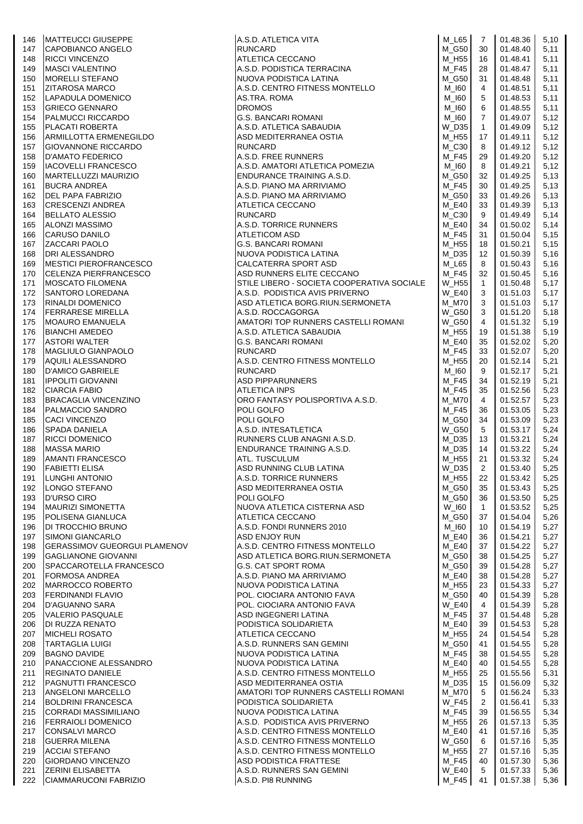| 146        | <b>MATTEUCCI GIUSEPPE</b>                              |                                                                                                                                                                                                                                                                   | M_L65                 | 7              | 01.48.36             | 5,10         |
|------------|--------------------------------------------------------|-------------------------------------------------------------------------------------------------------------------------------------------------------------------------------------------------------------------------------------------------------------------|-----------------------|----------------|----------------------|--------------|
| 147        | CAPOBIANCO ANGELO                                      | A.S.D. ATLETICA VITA<br>RUNCARD<br>ATLETICA CECCANO<br>A.S.D. PODISTICA TERRACINA<br>NUOVA PODISTICA LATINA                                                                                                                                                       | M_G50                 | 30             | 01.48.40             | 5,11         |
| 148        | <b>RICCI VINCENZO</b>                                  |                                                                                                                                                                                                                                                                   | $M_H55$               | 16             | 01.48.41             | 5,11         |
| 149        | <b>MASCI VALENTINO</b>                                 |                                                                                                                                                                                                                                                                   | M_F45                 | 28             | 01.48.47             | 5,11         |
| 150        | <b>MORELLI STEFANO</b>                                 | A.S.D. CENTRO FITNESS MONTELLO                                                                                                                                                                                                                                    | M_G50                 | 31             | 01.48.48<br>01.48.51 | 5,11         |
| 151        | <b>ZITAROSA MARCO</b><br>LAPADULA DOMENICO             | AS.TRA. ROMA<br>A.S.D. CENTRO FITNESS MONTELLO<br>AS.TRA. ROMA<br>DROMOS<br>G.S. BANCARI ROMANI<br>A.S.D. ATLETICA SABAUDIA<br>ASD MEDITERRANEA OSTIA<br>RUNCARD<br>A.S.D. FREE RUNNERS<br>A.S.D. PIANO MA ARRIVIAMO<br>A.S.D. PIANO MA ARRIVIAMO<br>A.S.D. PIANO | M_I60<br>M_I60        | 4              | 01.48.53             | 5,11<br>5,11 |
| 152        | <b>GRIECO GENNARO</b>                                  |                                                                                                                                                                                                                                                                   | M_I60                 | 5<br>6         | 01.48.55             | 5,11         |
| 153<br>154 | <b>PALMUCCI RICCARDO</b>                               |                                                                                                                                                                                                                                                                   | M_I60                 | $\overline{7}$ | 01.49.07             | 5,12         |
| 155        | <b>PLACATI ROBERTA</b>                                 |                                                                                                                                                                                                                                                                   | W D35                 | $\mathbf{1}$   | 01.49.09             | 5,12         |
| 156        | ARMILLOTTA ERMENEGILDO                                 |                                                                                                                                                                                                                                                                   | M_H55                 | 17             | 01.49.11             | 5,12         |
| 157        | <b>GIOVANNONE RICCARDO</b>                             |                                                                                                                                                                                                                                                                   | M_C30                 | 8              | 01.49.12             | 5,12         |
| 158        | <b>ID'AMATO FEDERICO</b>                               |                                                                                                                                                                                                                                                                   | M F45                 | 29             | 01.49.20             | 5,12         |
| 159        | <b>IACOVELLI FRANCESCO</b>                             |                                                                                                                                                                                                                                                                   | M_I60                 | 8              | 01.49.21             | 5,12         |
| 160        | MARTELLUZZI MAURIZIO                                   |                                                                                                                                                                                                                                                                   | M_G50                 | 32             | 01.49.25             | 5,13         |
| 161        | <b>BUCRA ANDREA</b>                                    |                                                                                                                                                                                                                                                                   | M F45                 | 30             | 01.49.25             | 5,13         |
| 162        | <b>DEL PAPA FABRIZIO</b>                               |                                                                                                                                                                                                                                                                   | M_G50                 | 33             | 01.49.26             | 5,13         |
| 163        | <b>CRESCENZI ANDREA</b>                                |                                                                                                                                                                                                                                                                   | <b>M_E40</b>          | 33             | 01.49.39             | 5,13         |
| 164        | <b>BELLATO ALESSIO</b>                                 |                                                                                                                                                                                                                                                                   | M_C30                 | 9              | 01.49.49             | 5,14         |
| 165        | <b>ALONZI MASSIMO</b>                                  |                                                                                                                                                                                                                                                                   | $M_E40$               | 34             | 01.50.02             | 5,14         |
| 166        | CARUSO DANILO                                          |                                                                                                                                                                                                                                                                   | M_F45                 | 31             | 01.50.04             | 5,15         |
| 167        | <b>ZACCARI PAOLO</b>                                   |                                                                                                                                                                                                                                                                   | M_H55                 | 18             | 01.50.21             | 5,15         |
| 168        | <b>DRI ALESSANDRO</b>                                  |                                                                                                                                                                                                                                                                   | M_D35                 | 12             | 01.50.39             | 5,16         |
| 169        | <b>MESTICI PIEROFRANCESCO</b>                          |                                                                                                                                                                                                                                                                   | $M_L$ 65              | 8              | 01.50.43             | 5,16         |
| 170        | <b>CELENZA PIERFRANCESCO</b>                           | ASD RUNNERS ELITE CECCANO                                                                                                                                                                                                                                         | M F45                 | 32             | 01.50.45             | 5,16         |
| 171        | <b>MOSCATO FILOMENA</b>                                | STILE LIBERO - SOCIETA COOPERATIVA SOCIALE                                                                                                                                                                                                                        | W H55                 | $\mathbf{1}$   | 01.50.48             | 5,17         |
| 172        | <b>SANTORO LOREDANA</b>                                | A.S.D. PODISTICA AVIS PRIVERNO                                                                                                                                                                                                                                    | <b>W_E40</b>          | 3              | 01.51.03             | 5,17         |
| 173        | RINALDI DOMENICO                                       | ASD ATLETICA BORG.RIUN.SERMONETA                                                                                                                                                                                                                                  | M M70                 | 3              | 01.51.03             | 5,17         |
| 174        | <b>FERRARESE MIRELLA</b>                               | A.S.D. ROCCAGORGA                                                                                                                                                                                                                                                 | <b>W_G50</b>          | 3              | 01.51.20             | 5,18         |
| 175        | MOAURO EMANUELA                                        | AMATORI TOP RUNNERS CASTELLI ROMANI                                                                                                                                                                                                                               | <b>W_G50</b>          | 4              | 01.51.32             | 5,19         |
| 176        | <b>BIANCHI AMEDEO</b>                                  | A.S.D. ATLETICA SABAUDIA                                                                                                                                                                                                                                          | M H55                 | 19             | 01.51.38             | 5,19         |
| 177        | <b>ASTORI WALTER</b>                                   | <b>G.S. BANCARI ROMANI</b>                                                                                                                                                                                                                                        | M_E40                 | 35             | 01.52.02             | 5,20         |
| 178        | <b>MAGLIULO GIANPAOLO</b>                              | <b>RUNCARD</b>                                                                                                                                                                                                                                                    | <b>M_F45</b>          | 33             | 01.52.07             | 5,20         |
| 179        | AQUILI ALESSANDRO                                      | A.S.D. CENTRO FITNESS MONTELLO                                                                                                                                                                                                                                    | M H55                 | 20             | 01.52.14             | 5,21         |
| 180        | <b>D'AMICO GABRIELE</b>                                | <b>RUNCARD</b>                                                                                                                                                                                                                                                    | M_I60                 | 9              | 01.52.17             | 5,21         |
| 181        | <b>IPPOLITI GIOVANNI</b>                               | <b>ASD PIPPARUNNERS</b>                                                                                                                                                                                                                                           | M_F45                 | 34             | 01.52.19             | 5,21         |
| 182        | <b>CIARCIA FABIO</b>                                   | ATLETICA INPS<br>ORO FANTASY POLISPORTIVA A.S.D.                                                                                                                                                                                                                  | M_F45<br><b>M_M70</b> | 35             | 01.52.56             | 5,23         |
| 183<br>184 | <b>BRACAGLIA VINCENZINO</b><br><b>PALMACCIO SANDRO</b> |                                                                                                                                                                                                                                                                   | $M_F45$               | 4<br>36        | 01.52.57<br>01.53.05 | 5,23         |
| 185        | <b>CACI VINCENZO</b>                                   | POLI GOLFO<br>POLI GOLFO<br>A.S.D. INTESATLETICA<br>RUNNERS CLUB ANAGNI A.S.D.<br>ENDURANCE TRAINING A.S.D.<br>ATL. TUSCULUM<br>ASD RUNNING CLUB LATINA<br>ASD RUNNING CLUB LATINA<br>ASD RUNNING CLUB LATINA                                                     | M_G50                 | 34             | 01.53.09             | 5,23<br>5,23 |
| 186        | SPADA DANIELA                                          |                                                                                                                                                                                                                                                                   | <b>W_G50</b>          | 5              | 01.53.17             | 5,24         |
| 187        | <b>RICCI DOMENICO</b>                                  |                                                                                                                                                                                                                                                                   | M_D35                 | 13             | 01.53.21             | 5,24         |
| 188        | <b>MASSA MARIO</b>                                     |                                                                                                                                                                                                                                                                   | M D35                 | 14             | 01.53.22             | 5,24         |
| 189        | AMANTI FRANCESCO                                       |                                                                                                                                                                                                                                                                   | M_H55                 | 21             | 01.53.32             | 5,24         |
| 190        | <b>FABIETTI ELISA</b>                                  |                                                                                                                                                                                                                                                                   | W_D35                 | $\overline{2}$ | 01.53.40             | 5,25         |
| 191        | <b>ILUNGHI ANTONIO</b>                                 | A.S.D. TORRICE RUNNERS                                                                                                                                                                                                                                            | $M_H55$               | 22             | 01.53.42             | 5,25         |
| 192        | LONGO STEFANO                                          | ASD MEDITERRANEA OSTIA                                                                                                                                                                                                                                            | M_G50                 | 35             | 01.53.43             | 5,25         |
| 193        | <b>D'URSO CIRO</b>                                     | POLI GOLFO                                                                                                                                                                                                                                                        | M_G50                 | 36             | 01.53.50             | 5,25         |
| 194        | <b>MAURIZI SIMONETTA</b>                               | NUOVA ATLETICA CISTERNA ASD                                                                                                                                                                                                                                       | W_I60                 | $\mathbf{1}$   | 01.53.52             | 5,25         |
| 195        | <b>POLISENA GIANLUCA</b>                               | ATLETICA CECCANO                                                                                                                                                                                                                                                  | M_G50                 | 37             | 01.54.04             | 5,26         |
| 196        | <b>DI TROCCHIO BRUNO</b>                               | A.S.D. FONDI RUNNERS 2010                                                                                                                                                                                                                                         | M 160                 | 10             | 01.54.19             | 5,27         |
| 197        | <b>SIMONI GIANCARLO</b>                                | ASD ENJOY RUN                                                                                                                                                                                                                                                     | M E40                 | 36             | 01.54.21             | 5,27         |
| 198        | <b>GERASSIMOV GUEORGUI PLAMENOV</b>                    | A.S.D. CENTRO FITNESS MONTELLO                                                                                                                                                                                                                                    | M_E40                 | 37             | 01.54.22             | 5,27         |
| 199        | <b>GAGLIANONE GIOVANNI</b>                             | ASD ATLETICA BORG.RIUN.SERMONETA                                                                                                                                                                                                                                  | M G50                 | 38             | 01.54.25             | 5,27         |
| 200        | SPACCAROTELLA FRANCESCO                                | <b>G.S. CAT SPORT ROMA</b>                                                                                                                                                                                                                                        | M_G50                 | 39             | 01.54.28             | 5,27         |
| 201        | <b>FORMOSA ANDREA</b>                                  | A.S.D. PIANO MA ARRIVIAMO                                                                                                                                                                                                                                         | $M_E40$               | 38             | 01.54.28             | 5,27         |
| 202        | MARROCCO ROBERTO                                       | NUOVA PODISTICA LATINA                                                                                                                                                                                                                                            | M H55                 | 23             | 01.54.33             | 5,27         |
| 203        | <b>FERDINANDI FLAVIO</b>                               | POL. CIOCIARA ANTONIO FAVA                                                                                                                                                                                                                                        | M_G50                 | 40             | 01.54.39             | 5,28         |
| 204        | <b>D'AGUANNO SARA</b>                                  | POL. CIOCIARA ANTONIO FAVA                                                                                                                                                                                                                                        | <b>W_E40</b>          | 4              | 01.54.39             | 5,28         |
| 205        | VALERIO PASQUALE                                       | ASD INGEGNERI LATINA                                                                                                                                                                                                                                              | M F45                 | 37             | 01.54.48             | 5,28         |
| 206        | <b>DI RUZZA RENATO</b><br><b>MICHELI ROSATO</b>        | PODISTICA SOLIDARIETA<br>ATLETICA CECCANO                                                                                                                                                                                                                         | M E40<br>M_H55        | 39<br>24       | 01.54.53<br>01.54.54 | 5,28         |
| 207<br>208 | <b>TARTAGLIA LUIGI</b>                                 | A.S.D. RUNNERS SAN GEMINI                                                                                                                                                                                                                                         | M G50                 | 41             | 01.54.55             | 5,28<br>5,28 |
| 209        | <b>BAGNO DAVIDE</b>                                    | NUOVA PODISTICA LATINA                                                                                                                                                                                                                                            | M_F45                 | 38             | 01.54.55             | 5,28         |
| 210        | <b>PANACCIONE ALESSANDRO</b>                           | NUOVA PODISTICA LATINA                                                                                                                                                                                                                                            | M_E40                 | 40             | 01.54.55             | 5,28         |
| 211        | <b>REGINATO DANIELE</b>                                | A.S.D. CENTRO FITNESS MONTELLO                                                                                                                                                                                                                                    | M H55                 | 25             | 01.55.56             | 5,31         |
| 212        | <b>PAGNUTTI FRANCESCO</b>                              | ASD MEDITERRANEA OSTIA                                                                                                                                                                                                                                            | M_D35                 | 15             | 01.56.09             | 5,32         |
| 213        | <b>ANGELONI MARCELLO</b>                               | AMATORI TOP RUNNERS CASTELLI ROMANI                                                                                                                                                                                                                               | M M70                 | 5              | 01.56.24             | 5,33         |
| 214        | <b>BOLDRINI FRANCESCA</b>                              | PODISTICA SOLIDARIETA                                                                                                                                                                                                                                             | <b>W F45</b>          | 2              | 01.56.41             | 5,33         |
| 215        | CORRADI MASSIMILIANO                                   | NUOVA PODISTICA LATINA                                                                                                                                                                                                                                            | $M_F45$               | 39             | 01.56.55             | 5,34         |
| 216        | <b>FERRAIOLI DOMENICO</b>                              | A.S.D. PODISTICA AVIS PRIVERNO                                                                                                                                                                                                                                    | M_H55                 | 26             | 01.57.13             | 5,35         |
| 217        | <b>CONSALVI MARCO</b>                                  | A.S.D. CENTRO FITNESS MONTELLO                                                                                                                                                                                                                                    | M E40                 | 41             | 01.57.16             | 5,35         |
| 218        | <b>GUERRA MILENA</b>                                   | A.S.D. CENTRO FITNESS MONTELLO                                                                                                                                                                                                                                    | W_G50                 | 6              | 01.57.16             | 5,35         |
| 219        | <b>ACCIAI STEFANO</b>                                  | A.S.D. CENTRO FITNESS MONTELLO                                                                                                                                                                                                                                    | M_H55                 | 27             | 01.57.16             | 5,35         |
| 220        | <b>GIORDANO VINCENZO</b>                               | ASD PODISTICA FRATTESE                                                                                                                                                                                                                                            | M F45                 | 40             | 01.57.30             | 5,36         |
| 221        | <b>ZERINI ELISABETTA</b>                               | A.S.D. RUNNERS SAN GEMINI                                                                                                                                                                                                                                         | $W_E40$               | 5              | 01.57.33             | 5,36         |
| 222        | CIAMMARUCONI FABRIZIO                                  | A.S.D. PI8 RUNNING                                                                                                                                                                                                                                                | $M_F45$               | 41             | 01.57.38             | 5,36         |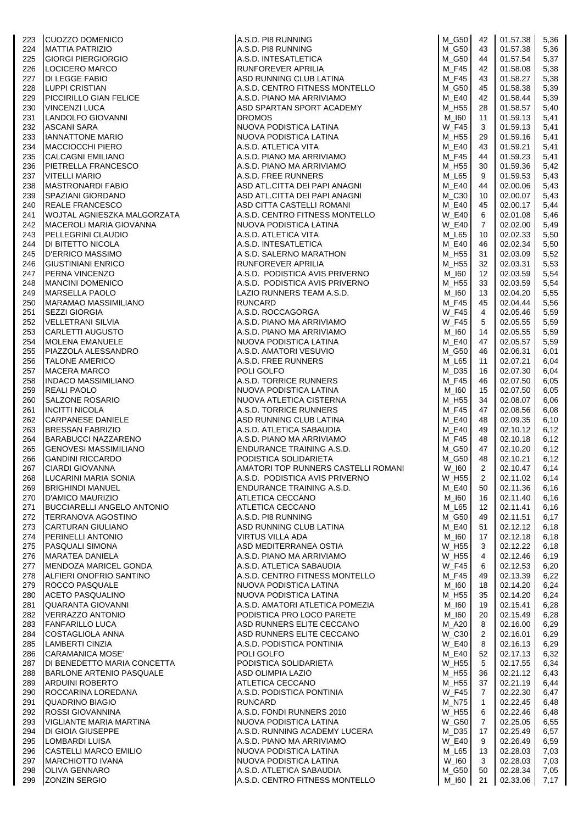| 223        | <b>CUOZZO DOMENICO</b>                                    | A.S.D. PI8 RUNNING<br>A.S.D. PI8 RUNNING<br>A.S.D. INTESATLETICA<br>RUNFOREVER APRILIA<br>ASD RUNNING CLUB LATINA<br>ASD RUNNING CLUB LATINA                                                                                                                 | M_G50                        | 42                   | 01.57.38             | 5,36         |
|------------|-----------------------------------------------------------|--------------------------------------------------------------------------------------------------------------------------------------------------------------------------------------------------------------------------------------------------------------|------------------------------|----------------------|----------------------|--------------|
| 224        | <b>MATTIA PATRIZIO</b>                                    |                                                                                                                                                                                                                                                              | $M_G50$                      | 43                   | 01.57.38             | 5,36         |
| 225<br>226 | <b>GIORGI PIERGIORGIO</b><br>LOCICERO MARCO               |                                                                                                                                                                                                                                                              | M_G50<br>M F45               | 44<br>42             | 01.57.54<br>01.58.08 | 5,37<br>5,38 |
| 227        | <b>DI LEGGE FABIO</b>                                     |                                                                                                                                                                                                                                                              | M_F45                        | 43                   | 01.58.27             | 5,38         |
| 228        | LUPPI CRISTIAN                                            | A.S.D. CENTRO FITNESS MONTELLO                                                                                                                                                                                                                               | $M_G50$                      | 45                   | 01.58.38             | 5,39         |
| 229        | PICCIRILLO GIAN FELICE                                    | A.S.D. PIANO MA ARRIVIAMO                                                                                                                                                                                                                                    | M_E40                        | 42                   | 01.58.44             | 5,39         |
| 230        | <b>VINCENZI LUCA</b>                                      | ASD SPARTAN SPORT ACADEMY                                                                                                                                                                                                                                    | M_H55                        | 28                   | 01.58.57             | 5,40         |
| 231        | LANDOLFO GIOVANNI                                         | <b>DROMOS</b>                                                                                                                                                                                                                                                | M_I60                        | 11                   | 01.59.13             | 5,41         |
| 232        | ASCANI SARA                                               | DROMOS<br>NUOVA PODISTICA LATINA<br>NUOVA PODISTICA LATINA<br>A.S.D. ATLETICA VITA<br>A.S.D. PIANO MA ARRIVIAMO<br>A.S.D. PIANO MA ARRIVIAMO<br>A.S.D. PIANO MA ARRIVIAMO                                                                                    | W F45                        | 3                    | 01.59.13             | 5,41         |
| 233        | <b>IANNATTONE MARIO</b>                                   |                                                                                                                                                                                                                                                              | M_H55                        | 29                   | 01.59.16             | 5,41         |
| 234<br>235 | <b>MACCIOCCHI PIERO</b><br><b>CALCAGNI EMILIANO</b>       |                                                                                                                                                                                                                                                              | M_E40<br>M F45               | 43<br>44             | 01.59.21<br>01.59.23 | 5,41<br>5,41 |
| 236        | <b>PIETRELLA FRANCESCO</b>                                |                                                                                                                                                                                                                                                              | M_H55                        | 30                   | 01.59.36             | 5,42         |
| 237        | <b>VITELLI MARIO</b>                                      | A.S.D. FREE RUNNERS                                                                                                                                                                                                                                          | M_L65                        | 9                    | 01.59.53             | 5,43         |
| 238        | <b>MASTRONARDI FABIO</b>                                  | A.S.D. FREE RUNNERS<br>ASD ATL.CITTA DEI PAPI ANAGNI                                                                                                                                                                                                         | M_E40                        | 44                   | 02.00.06             | 5,43         |
| 239        | SPAZIANI GIORDANO                                         | ASD ATL.CITTA DEI PAPI ANAGNI                                                                                                                                                                                                                                | $M_{}$ C30                   | 10                   | 02.00.07             | 5,43         |
| 240        | <b>REALE FRANCESCO</b>                                    | ASD CITTA CASTELLI ROMANI                                                                                                                                                                                                                                    | $M_E40$                      | 45                   | 02.00.17             | 5,44         |
| 241        | WOJTAL AGNIESZKA MALGORZATA                               | A.S.D. CENTRO FITNESS MONTELLO                                                                                                                                                                                                                               | W E40                        | 6                    | 02.01.08             | 5,46         |
| 242        | MACEROLI MARIA GIOVANNA                                   |                                                                                                                                                                                                                                                              | <b>W_E40</b>                 | $\overline{7}$       | 02.02.00             | 5,49         |
| 243<br>244 | <b>PELLEGRINI CLAUDIO</b><br><b>DI BITETTO NICOLA</b>     | NUOVA PODISTICA LATINA<br>A.S.D. ATLETICA VITA<br>A.S.D. INTESATLETICA<br>A.S.D. INTESATLETICA<br>A.S.D. SALERNO MARATHON<br>RUNFOREVER APRILIA<br>A.S.D. PODISTICA AVIS PRIVERNO                                                                            | M_L65<br>M_E40               | 10<br>46             | 02.02.33<br>02.02.34 | 5,50<br>5,50 |
| 245        | <b>D'ERRICO MASSIMO</b>                                   |                                                                                                                                                                                                                                                              | M_H55                        | 31                   | 02.03.09             | 5,52         |
| 246        | <b>IGIUSTINIANI ENRICO</b>                                |                                                                                                                                                                                                                                                              | M_H55                        | 32                   | 02.03.31             | 5,53         |
| 247        | <b>PERNA VINCENZO</b>                                     |                                                                                                                                                                                                                                                              | M_I60                        | 12                   | 02.03.59             | 5,54         |
| 248        | <b>MANCINI DOMENICO</b>                                   |                                                                                                                                                                                                                                                              | M_H55                        | 33                   | 02.03.59             | 5,54         |
| 249        | <b>MARSELLA PAOLO</b>                                     | AUNTONIC DISTICA AVIS PRIVENTO<br>A.S.D. PODISTICA AVIS PRIVERNO<br>A.S.D. PULNIERS TEAM A.S.D.                                                                                                                                                              | M_I60                        | 13                   | 02.04.20             | 5,55         |
| 250        | MARAMAO MASSIMILIANO                                      |                                                                                                                                                                                                                                                              | M_F45                        | 45                   | 02.04.44             | 5,56         |
| 251        | <b>SEZZI GIORGIA</b>                                      |                                                                                                                                                                                                                                                              | <b>W_F45</b>                 | 4                    | 02.05.46             | 5,59         |
| 252<br>253 | VELLETRANI SILVIA<br><b>CARLETTI AUGUSTO</b>              |                                                                                                                                                                                                                                                              | <b>W_F45</b><br>M_I60        | 5<br>14              | 02.05.55<br>02.05.55 | 5,59<br>5,59 |
| 254        | <b>MOLENA EMANUELE</b>                                    |                                                                                                                                                                                                                                                              | M_E40                        | 47                   | 02.05.57             | 5,59         |
| 255        | PIAZZOLA ALESSANDRO                                       |                                                                                                                                                                                                                                                              | $M_G50$                      | 46                   | 02.06.31             | 6,01         |
| 256        | <b>TALONE AMERICO</b>                                     |                                                                                                                                                                                                                                                              | M L65                        | 11                   | 02.07.21             | 6,04         |
| 257        | <b>MACERA MARCO</b>                                       |                                                                                                                                                                                                                                                              | M D35                        | 16                   | 02.07.30             | 6,04         |
| 258        | <b>INDACO MASSIMILIANO</b>                                |                                                                                                                                                                                                                                                              | M_F45                        | 46                   | 02.07.50             | 6,05         |
| 259        | <b>REALI PAOLO</b><br>SALZONE ROSARIO                     |                                                                                                                                                                                                                                                              | M_I60<br>M_H55               | 15<br>34             | 02.07.50<br>02.08.07 | 6,05<br>6,06 |
| 260<br>261 | <b>INCITTI NICOLA</b>                                     |                                                                                                                                                                                                                                                              | M_F45                        | 47                   | 02.08.56             | 6,08         |
| 262        | <b>CARPANESE DANIELE</b>                                  | LAZIO RUNNERS TEAM A.S.D.<br>RUNCARD<br>A.S.D. ROCCAGORGA<br>A.S.D. PIANO MA ARRIVIAMO<br>A.S.D. PIANO MA ARRIVIAMO<br>NUOVA PODISTICA LATINA<br>A.S.D. AMATORI VESUVIO<br>A.S.D. TREE RUNNERS<br>POLI GOLFO<br>A.S.D. TORRICE RUNNERS<br>NUOVA ATLETICA CIS | M_E40                        | 48                   | 02.09.35             | 6,10         |
| 263        | <b>BRESSAN FABRIZIO</b>                                   |                                                                                                                                                                                                                                                              | <b>M_E40</b>                 | 49                   | 02.10.12             | 6,12         |
| 264        | BARABUCCI NAZZARENO                                       |                                                                                                                                                                                                                                                              | <b>M_F45</b>                 | 48                   | 02.10.18             | 6,12         |
| 265        | <b>GENOVESI MASSIMILIANO</b>                              | ENDURANCE TRAINING A.S.D.<br>PODISTICA SOLIDARIETA                                                                                                                                                                                                           | M G50                        | 47                   | 02.10.20             | 6,12         |
| 266<br>267 | <b>GANDINI RICCARDO</b><br><b>CIARDI GIOVANNA</b>         | PODISTICA SOLIDARIETA<br>AMATORI TOP RUNNERS CASTELLI ROMANI                                                                                                                                                                                                 | M_G50<br>W_I60               | 48<br>$\overline{2}$ | 02.10.21<br>02.10.47 | 6,12<br>6,14 |
| 268        | LUCARINI MARIA SONIA                                      | A.S.D. PODISTICA AVIS PRIVERNO                                                                                                                                                                                                                               | <b>W_H55</b>                 | $\overline{2}$       | 02.11.02             | 6,14         |
| 269        | <b>BRIGHINDI MANUEL</b>                                   | ENDURANCE TRAINING A.S.D.                                                                                                                                                                                                                                    | M_E40                        | 50                   | 02.11.36             | 6,16         |
| 270        | <b>D'AMICO MAURIZIO</b>                                   | ATLETICA CECCANO                                                                                                                                                                                                                                             | M_I60                        | 16                   | 02.11.40             | 6,16         |
| 271        | <b>BUCCIARELLI ANGELO ANTONIO</b>                         | ATLETICA CECCANO                                                                                                                                                                                                                                             | M_L65                        | 12                   | 02.11.41             | 6,16         |
| 272        | <b>TERRANOVA AGOSTINO</b>                                 | A.S.D. PI8 RUNNING                                                                                                                                                                                                                                           | M_G50                        | 49                   | 02.11.51             | 6,17         |
| 273<br>274 | <b>CARTURAN GIULIANO</b><br><b>PERINELLI ANTONIO</b>      | ASD RUNNING CLUB LATINA<br>VIRTUS VILLA ADA                                                                                                                                                                                                                  | M_E40<br>M 160               | 51<br>17             | 02.12.12<br>02.12.18 | 6,18<br>6,18 |
| 275        | <b>PASQUALI SIMONA</b>                                    | ASD MEDITERRANEA OSTIA                                                                                                                                                                                                                                       | <b>W_H55</b>                 | 3                    | 02.12.22             | 6,18         |
| 276        | <b>MARATEA DANIELA</b>                                    | A.S.D. PIANO MA ARRIVIAMO                                                                                                                                                                                                                                    | W_H55                        | 4                    | 02.12.46             | 6,19         |
| 277        | MENDOZA MARICEL GONDA                                     | A.S.D. ATLETICA SABAUDIA                                                                                                                                                                                                                                     | W_F45                        | 6                    | 02.12.53             | 6,20         |
| 278        | ALFIERI ONOFRIO SANTINO                                   | A.S.D. CENTRO FITNESS MONTELLO                                                                                                                                                                                                                               | M_F45                        | 49                   | 02.13.39             | 6,22         |
| 279        | ROCCO PASQUALE                                            | NUOVA PODISTICA LATINA                                                                                                                                                                                                                                       | M_I60                        | 18                   | 02.14.20             | 6,24         |
| 280        | <b>ACETO PASQUALINO</b>                                   | NUOVA PODISTICA LATINA                                                                                                                                                                                                                                       | M_H55                        | 35                   | 02.14.20             | 6,24         |
| 281<br>282 | <b>QUARANTA GIOVANNI</b><br>VERRAZZO ANTONIO              | A.S.D. AMATORI ATLETICA POMEZIA<br>PODISTICA PRO LOCO PARETE                                                                                                                                                                                                 | M_I60<br>M_I60               | 19<br>20             | 02.15.41<br>02.15.49 | 6,28<br>6,28 |
| 283        | <b>FANFARILLO LUCA</b>                                    | ASD RUNNERS ELITE CECCANO                                                                                                                                                                                                                                    | M_A20                        | 8                    | 02.16.00             | 6,29         |
| 284        | <b>COSTAGLIOLA ANNA</b>                                   | ASD RUNNERS ELITE CECCANO                                                                                                                                                                                                                                    | W_C30                        | $\overline{2}$       | 02.16.01             | 6,29         |
| 285        | LAMBERTI CINZIA                                           | A.S.D. PODISTICA PONTINIA                                                                                                                                                                                                                                    | W E40                        | 8                    | 02.16.13             | 6,29         |
| 286        | <b>CARAMANICA MOSE'</b>                                   | POLI GOLFO                                                                                                                                                                                                                                                   | M_E40                        | 52                   | 02.17.13             | 6,32         |
| 287        | DI BENEDETTO MARIA CONCETTA                               | PODISTICA SOLIDARIETA                                                                                                                                                                                                                                        | <b>W_H55</b>                 | 5                    | 02.17.55             | 6,34         |
| 288<br>289 | <b>BARLONE ARTENIO PASQUALE</b><br><b>ARDUINI ROBERTO</b> | ASD OLIMPIA LAZIO<br>ATLETICA CECCANO                                                                                                                                                                                                                        | M H55<br>M_H55               | 36<br>37             | 02.21.12<br>02.21.19 | 6,43<br>6,44 |
| 290        | ROCCARINA LOREDANA                                        | A.S.D. PODISTICA PONTINIA                                                                                                                                                                                                                                    | <b>W_F45</b>                 | $\overline{7}$       | 02.22.30             | 6,47         |
| 291        | QUADRINO BIAGIO                                           | <b>RUNCARD</b>                                                                                                                                                                                                                                               | M_N75                        | $\mathbf{1}$         | 02.22.45             | 6,48         |
| 292        | <b>ROSSI GIOVANNINA</b>                                   | A.S.D. FONDI RUNNERS 2010                                                                                                                                                                                                                                    | $W_H55$                      | 6                    | 02.22.46             | 6,48         |
| 293        | VIGLIANTE MARIA MARTINA                                   | NUOVA PODISTICA LATINA                                                                                                                                                                                                                                       | <b>W_G50</b>                 | $\overline{7}$       | 02.25.05             | 6,55         |
| 294        | <b>DI GIOIA GIUSEPPE</b>                                  | A.S.D. RUNNING ACADEMY LUCERA                                                                                                                                                                                                                                | M D35                        | 17                   | 02.25.49             | 6,57         |
| 295<br>296 | <b>LOMBARDI LUISA</b><br><b>CASTELLI MARCO EMILIO</b>     | A.S.D. PIANO MA ARRIVIAMO<br>NUOVA PODISTICA LATINA                                                                                                                                                                                                          | <b>W_E40</b><br><b>M_L65</b> | 9<br>13              | 02.26.49<br>02.28.03 | 6,59<br>7,03 |
| 297        | <b>MARCHIOTTO IVANA</b>                                   | NUOVA PODISTICA LATINA                                                                                                                                                                                                                                       | W_I60                        | 3                    | 02.28.03             | 7,03         |
| 298        | <b>OLIVA GENNARO</b>                                      | A.S.D. ATLETICA SABAUDIA                                                                                                                                                                                                                                     | M_G50                        | 50                   | 02.28.34             | 7,05         |
| 299        | <b>ZONZIN SERGIO</b>                                      | A.S.D. CENTRO FITNESS MONTELLO                                                                                                                                                                                                                               | $M_l60$                      | 21                   | 02.33.06             | 7,17         |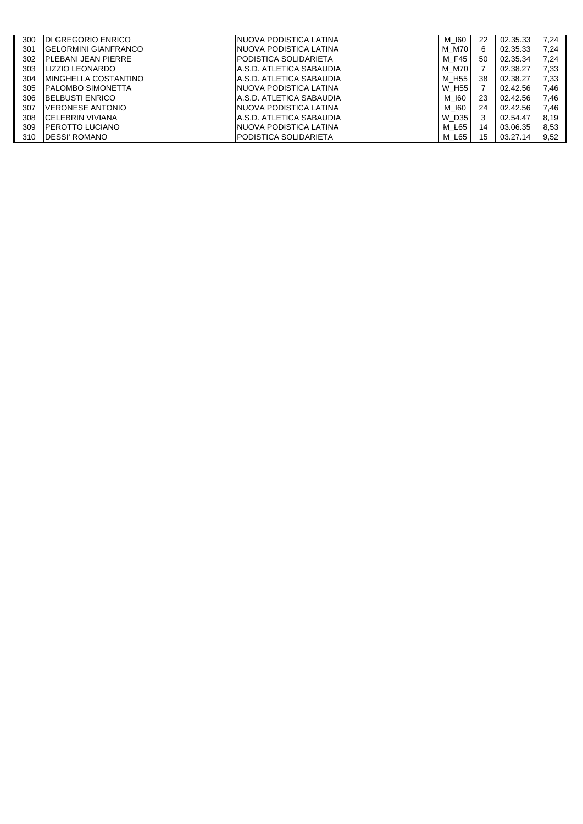| 300 | <b>IDI GREGORIO ENRICO</b>   | INUOVA PODISTICA LATINA       | M 160 | 22 | 02.35.33 | 7.24 |
|-----|------------------------------|-------------------------------|-------|----|----------|------|
| 301 | <b>IGELORMINI GIANFRANCO</b> | INUOVA PODISTICA LATINA       | M M70 | 6  | 02.35.33 | 7.24 |
| 302 | <b>IPLEBANI JEAN PIERRE</b>  | <b>IPODISTICA SOLIDARIETA</b> | M F45 | 50 | 02.35.34 | 7,24 |
| 303 | LIZZIO LEONARDO              | IA.S.D. ATLETICA SABAUDIA     | M M70 |    | 02.38.27 | 7,33 |
| 304 | <b>IMINGHELLA COSTANTINO</b> | A.S.D. ATLETICA SABAUDIA      | M H55 | 38 | 02.38.27 | 7.33 |
| 305 | <b>IPALOMBO SIMONETTA</b>    | INUOVA PODISTICA LATINA       | W H55 |    | 02.42.56 | 7,46 |
| 306 | <b>IBELBUSTI ENRICO</b>      | A.S.D. ATLETICA SABAUDIA      | M 160 | 23 | 02.42.56 | 7.46 |
| 307 | <b>VERONESE ANTONIO</b>      | INUOVA PODISTICA LATINA       | M 160 | 24 | 02.42.56 | 7.46 |
| 308 | ICELEBRIN VIVIANA            | A.S.D. ATLETICA SABAUDIA      | W D35 | 3  | 02.54.47 | 8.19 |
| 309 | <b>PEROTTO LUCIANO</b>       | NUOVA PODISTICA LATINA        | M L65 | 14 | 03.06.35 | 8,53 |
| 310 | <b>IDESSI' ROMANO</b>        | PODISTICA SOLIDARIETA         | M L65 | 15 | 03.27.14 | 9,52 |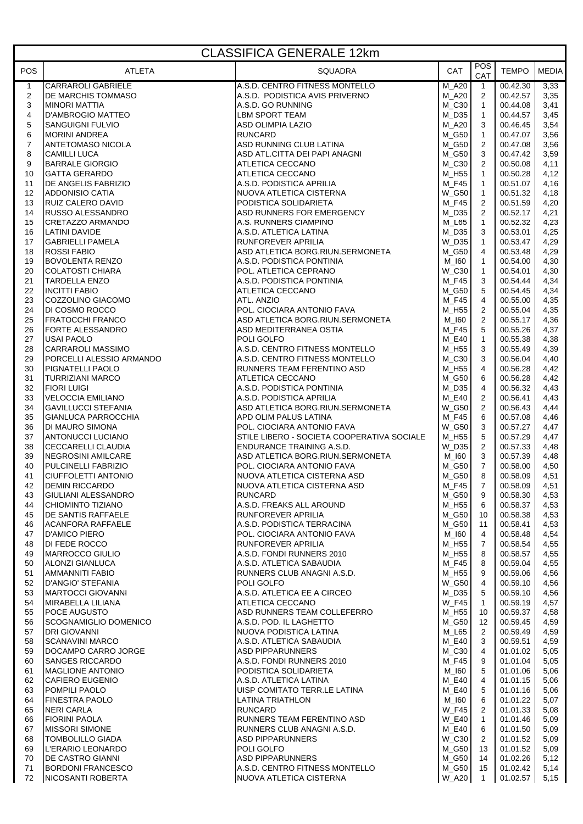| <b>CLASSIFICA GENERALE 12km</b> |                                                        |                                                                                 |                       |                                |                      |              |  |  |
|---------------------------------|--------------------------------------------------------|---------------------------------------------------------------------------------|-----------------------|--------------------------------|----------------------|--------------|--|--|
| POS                             | <b>ATLETA</b>                                          | SQUADRA                                                                         | CAT                   | POS<br>CAT                     | <b>TEMPO</b>         | <b>MEDIA</b> |  |  |
| $\mathbf{1}$                    | <b>CARRAROLI GABRIELE</b>                              | A.S.D. CENTRO FITNESS MONTELLO                                                  | M A20                 | $\mathbf{1}$                   | 00.42.30             | 3,33         |  |  |
| 2                               | <b>I</b> DE MARCHIS TOMMASO                            | A.S.D. PODISTICA AVIS PRIVERNO                                                  | <b>M_A20</b>          | 2                              | 00.42.57             | 3,35         |  |  |
| 3<br>4                          | <b>MINORI MATTIA</b><br>D'AMBROGIO MATTEO              | A.S.D. GO RUNNING<br>LBM SPORT TEAM                                             | $M_C30$<br>M_D35      | $\mathbf{1}$<br>$\mathbf{1}$   | 00.44.08<br>00.44.57 | 3,41<br>3,45 |  |  |
| 5                               | SANGUIGNI FULVIO                                       | ASD OLIMPIA LAZIO                                                               | <b>M_A20</b>          | 3                              | 00.46.45             | 3,54         |  |  |
| 6                               | <b>MORINI ANDREA</b>                                   | <b>RUNCARD</b>                                                                  | M_G50                 | $\mathbf{1}$                   | 00.47.07             | 3,56         |  |  |
| $\overline{7}$                  | ANTETOMASO NICOLA                                      | ASD RUNNING CLUB LATINA                                                         | M_G50                 | $\overline{c}$                 | 00.47.08             | 3,56         |  |  |
| 8                               | <b>CAMILLI LUCA</b>                                    | ASD ATL.CITTA DEI PAPI ANAGNI                                                   | M_G50                 | $\mathbf{3}$                   | 00.47.42             | 3,59         |  |  |
| 9<br>10                         | <b>BARRALE GIORGIO</b><br><b>GATTA GERARDO</b>         | ATLETICA CECCANO<br>ATLETICA CECCANO                                            | $M_C30$<br>M_H55      | $\overline{2}$<br>$\mathbf{1}$ | 00.50.08<br>00.50.28 | 4,11<br>4,12 |  |  |
| 11                              | DE ANGELIS FABRIZIO                                    | A.S.D. PODISTICA APRILIA                                                        | M_F45                 | $\mathbf{1}$                   | 00.51.07             | 4,16         |  |  |
| 12                              | <b>ADDONISIO CATIA</b>                                 | A.S.D. PODISTICA AFTILIA<br>NUOVA ATLETICA CISTERNA<br>COLLO APLETA             | <b>W_G50</b>          | $\mathbf{1}$                   | 00.51.32             | 4,18         |  |  |
| 13                              | <b>RUIZ CALERO DAVID</b>                               | PODISTICA SOLIDARIETA                                                           | M_F45                 | $\overline{c}$                 | 00.51.59             | 4,20         |  |  |
| 14                              | <b>RUSSO ALESSANDRO</b>                                | ASD RUNNERS FOR EMERGENCY                                                       | M_D35                 | 2                              | 00.52.17             | 4,21         |  |  |
| 15                              | <b>CRETAZZO ARMANDO</b>                                | A.S. RUNNERS CIAMPINO                                                           | M_L65                 | $\mathbf{1}$                   | 00.52.32             | 4,23         |  |  |
| 16<br>17                        | LATINI DAVIDE<br><b>GABRIELLI PAMELA</b>               | A.S.D. ATLETICA LATINA<br><b>RUNFOREVER APRILIA</b>                             | $M_D35$<br>W_D35      | 3<br>$\overline{1}$            | 00.53.01<br>00.53.47 | 4,25<br>4,29 |  |  |
| 18                              | <b>ROSSI FABIO</b>                                     | ASD ATLETICA BORG.RIUN.SERMONETA                                                | M_G50                 | 4                              | 00.53.48             | 4,29         |  |  |
| 19                              | <b>BOVOLENTA RENZO</b>                                 | A.S.D. PODISTICA PONTINIA                                                       | $M_l$ 160             | $\mathbf{1}$                   | 00.54.00             | 4,30         |  |  |
| 20                              | <b>COLATOSTI CHIARA</b>                                | POL. ATLETICA CEPRANO                                                           | W_C30                 | $\mathbf{1}$                   | 00.54.01             | 4,30         |  |  |
| 21                              | <b>TARDELLA ENZO</b>                                   | A.S.D. PODISTICA PONTINIA                                                       | M_F45                 | 3                              | 00.54.44             | 4,34         |  |  |
| 22                              | <b>INCITTI FABIO</b>                                   | ATLETICA CECCANO                                                                | M_G50                 | 5                              | 00.54.45             | 4,34         |  |  |
| 23<br>24                        | <b>COZZOLINO GIACOMO</b><br>DI COSMO ROCCO             | ATL. ANZIO<br>POL. CIOCIARA ANTONIO FAVA                                        | M F45<br>M_H55        | $\overline{4}$<br>2            | 00.55.00<br>00.55.04 | 4,35<br>4,35 |  |  |
| 25                              | FRATOCCHI FRANCO                                       | ASD ATLETICA BORG.RIUN.SERMONETA                                                | $M_l$ 160             | $\overline{2}$                 | 00.55.17             | 4,36         |  |  |
| 26                              | <b>FORTE ALESSANDRO</b>                                | ASD MEDITERRANEA OSTIA                                                          | M_F45                 | 5                              | 00.55.26             | 4,37         |  |  |
| 27                              | <b>USAI PAOLO</b>                                      | POLI GOLFO                                                                      | M_E40                 | $\mathbf{1}$                   | 00.55.38             | 4,38         |  |  |
| 28                              | <b>CARRAROLI MASSIMO</b>                               | A.S.D. CENTRO FITNESS MONTELLO                                                  | $M_H55$               | 3                              | 00.55.49             | 4,39         |  |  |
| 29                              | PORCELLI ALESSIO ARMANDO                               | A.S.D. CENTRO FITNESS MONTELLO                                                  | M_C30                 | 3                              | 00.56.04             | 4,40         |  |  |
| 30<br>31                        | PIGNATELLI PAOLO<br><b>TURRIZIANI MARCO</b>            | RUNNERS TEAM FERENTINO ASD<br>ATLETICA CECCANO                                  | M_H55<br>M_G50        | $\overline{4}$<br>6            | 00.56.28<br>00.56.28 | 4,42<br>4,42 |  |  |
| 32                              | <b>FIORI LUIGI</b>                                     | A.S.D. PODISTICA PONTINIA                                                       | $M_D35$               | $\overline{4}$                 | 00.56.32             | 4,43         |  |  |
| 33                              | <b>VELOCCIA EMILIANO</b>                               | A.S.D. PODISTICA APRILIA                                                        | $M_E40$               | 2                              | 00.56.41             | 4,43         |  |  |
| 34                              | <b>GAVILLUCCI STEFANIA</b>                             | ASD ATLETICA BORG.RIUN.SERMONETA                                                | <b>W_G50</b>          | $\overline{2}$                 | 00.56.43             | 4,44         |  |  |
| 35                              | GIANLUCA PARROCCHIA                                    | <b>APD OLIM PALUS LATINA</b>                                                    | M F45                 | 6                              | 00.57.08             | 4,46         |  |  |
| 36<br>37                        | <b>DI MAURO SIMONA</b><br><b>ANTONUCCI LUCIANO</b>     | POL. CIOCIARA ANTONIO FAVA<br><b>STILE LIBERO - SOCIETA COOPERATIVA SOCIALE</b> | <b>W_G50</b><br>M_H55 | 3<br>5                         | 00.57.27<br>00.57.29 | 4,47<br>4,47 |  |  |
| 38                              | <b>CECCARELLI CLAUDIA</b>                              | <b>ENDURANCE TRAINING A.S.D.</b>                                                | W_D35                 | $\overline{c}$                 | 00.57.33             | 4,48         |  |  |
| 39                              | NEGROSINI AMILCARE                                     | ASD ATLETICA BORG.RIUN.SERMONETA                                                | M_I60                 | 3                              | 00.57.39             | 4,48         |  |  |
| 40                              | <b>PULCINELLI FABRIZIO</b>                             | POL. CIOCIARA ANTONIO FAVA                                                      | M_G50                 | $\overline{7}$                 | 00.58.00             | 4,50         |  |  |
| 41                              | <b>CIUFFOLETTI ANTONIO</b>                             | NUOVA ATLETICA CISTERNA ASD                                                     | M_G50                 | 8                              | 00.58.09             | 4,51         |  |  |
| 42                              | <b>DEMIN RICCARDO</b>                                  | NUOVA ATLETICA CISTERNA ASD                                                     | M_F45                 | 7 <sup>7</sup>                 | 00.58.09             | 4,51         |  |  |
| 43<br>44                        | <b>GIULIANI ALESSANDRO</b><br><b>CHIOMINTO TIZIANO</b> | <b>RUNCARD</b><br>A.S.D. FREAKS ALL AROUND                                      | M_G50<br>M_H55        | 9<br>6                         | 00.58.30<br>00.58.37 | 4,53<br>4,53 |  |  |
| 45                              | <b>DE SANTIS RAFFAELE</b>                              | RUNFOREVER APRILIA                                                              | M_G50                 | 10                             | 00.58.38             | 4,53         |  |  |
| 46                              | <b>ACANFORA RAFFAELE</b>                               | A.S.D. PODISTICA TERRACINA                                                      | M_G50                 | 11                             | 00.58.41             | 4,53         |  |  |
| 47                              | <b>D'AMICO PIERO</b>                                   | POL. CIOCIARA ANTONIO FAVA                                                      | M_I60                 | $\overline{4}$                 | 00.58.48             | 4,54         |  |  |
| 48                              | <b>DI FEDE ROCCO</b>                                   | RUNFOREVER APRILIA                                                              | M_H55                 | $\overline{7}$                 | 00.58.54             | 4,55         |  |  |
| 49<br>50                        | MARROCCO GIULIO<br>ALONZI GIANLUCA                     | A.S.D. FONDI RUNNERS 2010<br>A.S.D. ATLETICA SABAUDIA                           | M_H55<br><b>M_F45</b> | 8<br>8                         | 00.58.57<br>00.59.04 | 4,55<br>4,55 |  |  |
| 51                              | <b>AMMANNITI FABIO</b>                                 | RUNNERS CLUB ANAGNI A.S.D.                                                      | M_H55                 | 9                              | 00.59.06             | 4,56         |  |  |
| 52                              | <b>D'ANGIO' STEFANIA</b>                               | POLI GOLFO                                                                      | W_G50                 | $\overline{4}$                 | 00.59.10             | 4,56         |  |  |
| 53                              | MARTOCCI GIOVANNI                                      | A.S.D. ATLETICA EE A CIRCEO                                                     | M_D35                 | 5                              | 00.59.10             | 4,56         |  |  |
| 54                              | MIRABELLA LILIANA                                      | ATLETICA CECCANO                                                                | <b>W F45</b>          | $\mathbf{1}$                   | 00.59.19             | 4,57         |  |  |
| 55                              | POCE AUGUSTO                                           | ASD RUNNERS TEAM COLLEFERRO                                                     | M_H55                 | 10                             | 00.59.37             | 4,58         |  |  |
| 56<br>57                        | <b>SCOGNAMIGLIO DOMENICO</b><br><b>DRI GIOVANNI</b>    | A.S.D. POD. IL LAGHETTO<br>NUOVA PODISTICA LATINA                               | M_G50<br>M L65        | 12<br>$\overline{2}$           | 00.59.45<br>00.59.49 | 4,59<br>4,59 |  |  |
| 58                              | <b>SCANAVINI MARCO</b>                                 | A.S.D. ATLETICA SABAUDIA                                                        | <b>M_E40</b>          | 3                              | 00.59.51             | 4,59         |  |  |
| 59                              | DOCAMPO CARRO JORGE                                    | <b>ASD PIPPARUNNERS</b>                                                         | $M_C30$               | 4                              | 01.01.02             | 5,05         |  |  |
| 60                              | <b>SANGES RICCARDO</b>                                 | A.S.D. FONDI RUNNERS 2010                                                       | <b>M_F45</b>          | 9                              | 01.01.04             | 5,05         |  |  |
| 61                              | MAGLIONE ANTONIO                                       | PODISTICA SOLIDARIETA                                                           | M_I60                 | 5                              | 01.01.06             | 5,06         |  |  |
| 62<br>63                        | <b>CAFIERO EUGENIO</b><br>POMPILI PAOLO                | A.S.D. ATLETICA LATINA<br>UISP COMITATO TERR.LE LATINA                          | $M_E40$<br>M_E40      | 4<br>5                         | 01.01.15<br>01.01.16 | 5,06<br>5,06 |  |  |
| 64                              | <b>FINESTRA PAOLO</b>                                  | <b>LATINA TRIATHLON</b>                                                         | M_I60                 | 6                              | 01.01.22             | 5,07         |  |  |
| 65                              | <b>NERI CARLA</b>                                      | <b>RUNCARD</b>                                                                  | <b>W_F45</b>          | 2                              | 01.01.33             | 5,08         |  |  |
| 66                              | <b>FIORINI PAOLA</b>                                   | RUNNERS TEAM FERENTINO ASD                                                      | <b>W E40</b>          | $\mathbf{1}$                   | 01.01.46             | 5,09         |  |  |
| 67                              | <b>MISSORI SIMONE</b>                                  | RUNNERS CLUB ANAGNI A.S.D.                                                      | M E40                 | 6                              | 01.01.50             | 5,09         |  |  |
| 68                              | <b>TOMBOLILLO GIADA</b><br>L'ERARIO LEONARDO           | <b>ASD PIPPARUNNERS</b><br>POLI GOLFO                                           | W C30                 | 2<br>13                        | 01.01.52             | 5,09         |  |  |
| 69<br>70                        | <b>DE CASTRO GIANNI</b>                                | <b>ASD PIPPARUNNERS</b>                                                         | M_G50<br>M_G50        | 14                             | 01.01.52<br>01.02.26 | 5,09<br>5,12 |  |  |
| 71                              | <b>BORDONI FRANCESCO</b>                               | A.S.D. CENTRO FITNESS MONTELLO                                                  | M_G50                 | 15                             | 01.02.42             | 5,14         |  |  |
| 72                              | NICOSANTI ROBERTA                                      | NUOVA ATLETICA CISTERNA                                                         | <b>W_A20</b>          | $\mathbf{1}$                   | 01.02.57             | 5,15         |  |  |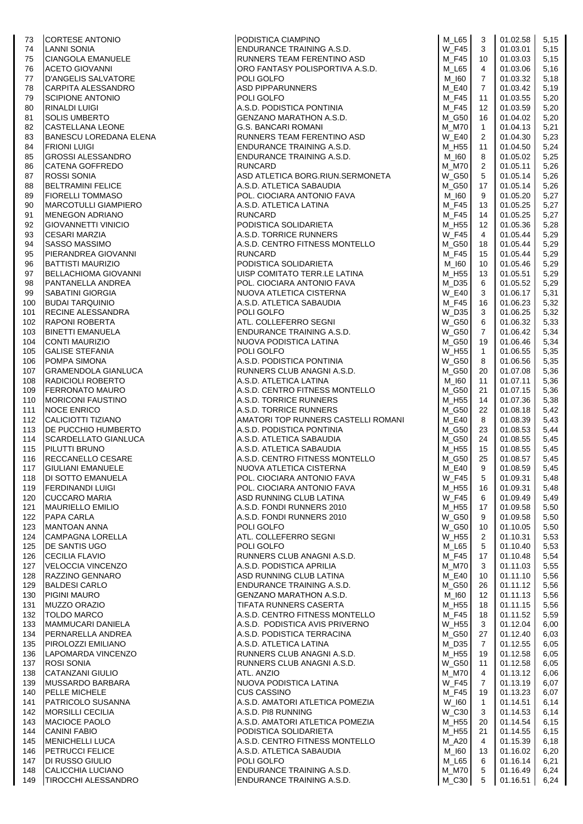| 73  | <b>CORTESE ANTONIO</b>     |                                                                                                                                                                                                                     | M_L65        | 3                 | 01.02.58 | 5,15  |
|-----|----------------------------|---------------------------------------------------------------------------------------------------------------------------------------------------------------------------------------------------------------------|--------------|-------------------|----------|-------|
| 74  | LANNI SONIA                |                                                                                                                                                                                                                     | <b>W_F45</b> | 3                 | 01.03.01 | 5,15  |
| 75  | <b>CIANGOLA EMANUELE</b>   | PODISTICA CIAMPINO<br>ENDURANCE TRAINING A.S.D.<br>RUNNERS TEAM FERENTINO ASD                                                                                                                                       | M_F45        | 10                | 01.03.03 | 5,15  |
| 76  | <b>ACETO GIOVANNI</b>      | RUNNERS TEAM FERENTINO ASD<br> ORO FANTASY POLISPORTIVA A.S.D.                                                                                                                                                      | M_L65        | 4                 | 01.03.06 | 5,16  |
| 77  | D'ANGELIS SALVATORE        | POLI GOLFO                                                                                                                                                                                                          | M_I60        | $\overline{7}$    | 01.03.32 | 5,18  |
| 78  | CARPITA ALESSANDRO         |                                                                                                                                                                                                                     | <b>M_E40</b> | $7^{\circ}$       | 01.03.42 | 5,19  |
| 79  | <b>SCIPIONE ANTONIO</b>    |                                                                                                                                                                                                                     | M_F45        | 11                | 01.03.55 | 5,20  |
| 80  | <b>RINALDI LUIGI</b>       |                                                                                                                                                                                                                     | M F45        | $12 \overline{ }$ | 01.03.59 | 5,20  |
| 81  | SOLIS UMBERTO              |                                                                                                                                                                                                                     | M G50        | 16                | 01.04.02 | 5,20  |
| 82  | CASTELLANA LEONE           | FULL GULTO<br>ASD PIPPARUNNERS<br>POLI GOLFO<br>A.S.D. PODISTICA PONTINIA<br>GENZANO MARATHON A.S.D.<br>G.S. BANCARI ROMANI<br>RUNNERS TEAM FERENTINO ASD<br>ENDURANCE TRAINING A.S.D.<br>ENDURANCE TRAINING A.S.D. | <b>M_M70</b> | $\overline{1}$    | 01.04.13 | 5,21  |
| 83  | BANESCU LOREDANA ELENA     |                                                                                                                                                                                                                     | <b>W_E40</b> | 2                 | 01.04.30 | 5,23  |
| 84  | <b>FRIONI LUIGI</b>        |                                                                                                                                                                                                                     | M_H55        | 11                | 01.04.50 | 5,24  |
| 85  | <b>GROSSI ALESSANDRO</b>   | ENDURANCE TRAINING A.S.D.                                                                                                                                                                                           | M_I60        | 8                 | 01.05.02 | 5,25  |
| 86  | <b>CATENA GOFFREDO</b>     | <b>RUNCARD</b>                                                                                                                                                                                                      | M_M70        | 2                 | 01.05.11 | 5,26  |
| 87  | <b>ROSSI SONIA</b>         | ASD ATLETICA BORG.RIUN.SERMONETA                                                                                                                                                                                    | W G50        | 5                 | 01.05.14 | 5,26  |
| 88  | <b>BELTRAMINI FELICE</b>   | A.S.D. ATLETICA SABAUDIA                                                                                                                                                                                            | M_G50        | 17                | 01.05.14 | 5,26  |
| 89  | <b>FIORELLI TOMMASO</b>    | A.S.D. ATLETICA SABAODIA<br>POL. CIOCIARA ANTONIO FAVA<br>A.S.D. ATLETICA LATINA<br>RUNCARD<br>PODISTICA SOLIDARIETA<br>A.S.D. TORRICE RUNNERS                                                                      | M 160        | 9                 | 01.05.20 | 5,27  |
| 90  | MARCOTULLI GIAMPIERO       |                                                                                                                                                                                                                     | M_F45        | 13                | 01.05.25 | 5,27  |
| 91  | <b>MENEGON ADRIANO</b>     |                                                                                                                                                                                                                     | M F45        | 14                | 01.05.25 | 5,27  |
| 92  | <b>GIOVANNETTI VINICIO</b> |                                                                                                                                                                                                                     | M_H55        | 12                | 01.05.36 | 5,28  |
| 93  | <b>CESARI MARZIA</b>       |                                                                                                                                                                                                                     | <b>W_F45</b> | $\overline{4}$    | 01.05.44 | 5,29  |
| 94  | <b>SASSO MASSIMO</b>       | A.S.D. CENTRO FITNESS MONTELLO                                                                                                                                                                                      | M G50        | 18                | 01.05.44 | 5,29  |
| 95  | PIERANDREA GIOVANNI        | <b>RUNCARD</b>                                                                                                                                                                                                      | M F45        | 15                | 01.05.44 | 5,29  |
| 96  | <b>BATTISTI MAURIZIO</b>   |                                                                                                                                                                                                                     | M_I60        | 10                | 01.05.46 | 5,29  |
| 97  | BELLACHIOMA GIOVANNI       | PODISTICA SOLIDARIETA<br>UISP COMITATO TERR.LE LATINA                                                                                                                                                               | M_H55        | 13                | 01.05.51 | 5,29  |
| 98  | PANTANELLA ANDREA          | POL. CIOCIARA ANTONIO FAVA                                                                                                                                                                                          | M D35        | 6                 | 01.05.52 | 5,29  |
| 99  | <b>SABATINI GIORGIA</b>    | NUOVA ATLETICA CISTERNA                                                                                                                                                                                             | <b>W_E40</b> | 3                 | 01.06.17 | 5,31  |
| 100 | <b>BUDAI TARQUINIO</b>     | A.S.D. ATLETICA SABAUDIA<br>POLI GOI FO                                                                                                                                                                             | M F45        | 16                | 01.06.23 | 5,32  |
| 101 | <b>RECINE ALESSANDRA</b>   | POLI GOLFO<br>ATL. COLLEFERRO SEGNI<br>ENDURANCE TRAINING A.S.D.<br>NUOVA PODISTICA LATINA<br>NUOVA PODISTICA LATINA                                                                                                | W_D35        | 3                 | 01.06.25 | 5,32  |
| 102 | <b>RAPONI ROBERTA</b>      |                                                                                                                                                                                                                     | W_G50        | 6                 | 01.06.32 | 5,33  |
| 103 | <b>BINETTI EMANUELA</b>    |                                                                                                                                                                                                                     | W G50        | $\overline{7}$    | 01.06.42 | 5,34  |
| 104 | <b>CONTI MAURIZIO</b>      |                                                                                                                                                                                                                     | M_G50        | 19                | 01.06.46 | 5,34  |
| 105 | <b>GALISE STEFANIA</b>     | POLI GOLFO                                                                                                                                                                                                          | <b>W_H55</b> | $\mathbf{1}$      | 01.06.55 | 5,35  |
| 106 | POMPA SIMONA               | A.S.D. PODISTICA PONTINIA                                                                                                                                                                                           | <b>W_G50</b> | 8                 | 01.06.56 | 5,35  |
| 107 | <b>GRAMENDOLA GIANLUCA</b> | A.S.D. PUND HUNT SIYAAD.<br>RUNNERS CLUB ANAGNI A.S.D.                                                                                                                                                              | M_G50        | 20                | 01.07.08 | 5,36  |
| 108 | RADICIOLI ROBERTO          | A.S.D. ATLETICA LATINA                                                                                                                                                                                              | M_I60        | 11                | 01.07.11 | 5,36  |
| 109 | <b>FERRONATO MAURO</b>     | A.S.D. CENTRO FITNESS MONTELLO                                                                                                                                                                                      | M G50        | 21                | 01.07.15 | 5,36  |
| 110 | <b>MORICONI FAUSTINO</b>   | A.S.D. TORRICE RUNNERS                                                                                                                                                                                              | M_H55        | 14                | 01.07.36 | 5,38  |
| 111 | NOCE ENRICO                | A.S.D. TORRICE RUNNERS                                                                                                                                                                                              | M_G50        | 22                | 01.08.18 | 5,42  |
| 112 | CALICIOTTI TIZIANO         | AMATORI TOP RUNNERS CASTELLI ROMANI                                                                                                                                                                                 | M E40        | 8                 | 01.08.39 | 5,43  |
| 113 | <b>DE PUCCHIO HUMBERTO</b> | A.S.D. PODISTICA PONTINIA                                                                                                                                                                                           | M_G50        | 23                | 01.08.53 | 5,44  |
| 114 | SCARDELLATO GIANLUCA       | A.S.D. ATLETICA SABAUDIA                                                                                                                                                                                            | M_G50        | 24                | 01.08.55 | 5,45  |
| 115 | <b>PILUTTI BRUNO</b>       | A.S.D. ATLETICA SABAUDIA                                                                                                                                                                                            | M H55        | 15                | 01.08.55 | 5,45  |
| 116 | RECCANELLO CESARE          | A.S.D. ATLETION ONDIVORIT.<br>A.S.D. CENTRO FITNESS MONTELLO<br>NILIOVA ATI FTICA CISTERNA                                                                                                                          | M_G50        | 25                | 01.08.57 | 5,45  |
| 117 | <b>GIULIANI EMANUELE</b>   |                                                                                                                                                                                                                     | $M_E40$      | 9                 | 01.08.59 | 5,45  |
| 118 | <b>DI SOTTO EMANUELA</b>   | POL. CIOCIARA ANTONIO FAVA                                                                                                                                                                                          | <b>W_F45</b> | 5                 | 01.09.31 | 5,48  |
| 119 | <b>FERDINANDI LUIGI</b>    | POL. CIOCIARA ANTONIO FAVA                                                                                                                                                                                          | M_H55        | 16                | 01.09.31 | 5,48  |
| 120 | <b>CUCCARO MARIA</b>       | ASD RUNNING CLUB LATINA                                                                                                                                                                                             | <b>W_F45</b> | 6                 | 01.09.49 | 5,49  |
| 121 | <b>MAURIELLO EMILIO</b>    | A.S.D. FONDI RUNNERS 2010                                                                                                                                                                                           | M H55        | 17                | 01.09.58 | 5,50  |
| 122 | <b>PAPA CARLA</b>          | A.S.D. FONDI RUNNERS 2010                                                                                                                                                                                           | <b>W_G50</b> | 9                 | 01.09.58 | 5,50  |
| 123 | <b>MANTOAN ANNA</b>        | POLI GOLFO                                                                                                                                                                                                          | <b>W_G50</b> | 10                | 01.10.05 | 5,50  |
| 124 | <b>CAMPAGNA LORELLA</b>    | ATL. COLLEFERRO SEGNI                                                                                                                                                                                               | W H55        | 2                 | 01.10.31 | 5,53  |
| 125 | <b>DE SANTIS UGO</b>       | POLI GOLFO                                                                                                                                                                                                          | $M_L65$      | 5                 | 01.10.40 | 5,53  |
| 126 | <b>CECILIA FLAVIO</b>      | RUNNERS CLUB ANAGNI A.S.D.                                                                                                                                                                                          | <b>M_F45</b> | 17                | 01.10.48 | 5,54  |
| 127 | <b>VELOCCIA VINCENZO</b>   | A.S.D. PODISTICA APRILIA                                                                                                                                                                                            | M M70        | 3                 | 01.11.03 | 5,55  |
| 128 | RAZZINO GENNARO            | ASD RUNNING CLUB LATINA                                                                                                                                                                                             | M E40        | 10                | 01.11.10 | 5,56  |
| 129 | <b>BALDESI CARLO</b>       | ENDURANCE TRAINING A.S.D.                                                                                                                                                                                           | M_G50        | 26                | 01.11.12 | 5,56  |
| 130 | PIGINI MAURO               | GENZANO MARATHON A.S.D.                                                                                                                                                                                             | M_I60        | 12                | 01.11.13 | 5,56  |
| 131 | <b>MUZZO ORAZIO</b>        | <b>TIFATA RUNNERS CASERTA</b>                                                                                                                                                                                       | M_H55        | 18                | 01.11.15 | 5,56  |
| 132 | <b>TOLDO MARCO</b>         | A.S.D. CENTRO FITNESS MONTELLO                                                                                                                                                                                      | M_F45        | 18                | 01.11.52 | 5,59  |
| 133 | MAMMUCARI DANIELA          | A.S.D. PODISTICA AVIS PRIVERNO                                                                                                                                                                                      | W H55        | 3                 | 01.12.04 | 6,00  |
| 134 | PERNARELLA ANDREA          | A.S.D. PODISTICA TERRACINA                                                                                                                                                                                          | M G50        | 27                | 01.12.40 | 6,03  |
| 135 | PIROLOZZI EMILIANO         | A.S.D. ATLETICA LATINA                                                                                                                                                                                              | M D35        | $\overline{7}$    | 01.12.55 | 6,05  |
| 136 | LAPOMARDA VINCENZO         | RUNNERS CLUB ANAGNI A.S.D.                                                                                                                                                                                          | M_H55        | 19                | 01.12.58 | 6,05  |
| 137 | <b>ROSI SONIA</b>          | RUNNERS CLUB ANAGNI A.S.D.                                                                                                                                                                                          | <b>W G50</b> | 11                | 01.12.58 | 6,05  |
| 138 | <b>CATANZANI GIULIO</b>    | ATL. ANZIO                                                                                                                                                                                                          | M_M70        | 4                 | 01.13.12 | 6,06  |
| 139 | MUSSARDO BARBARA           | NUOVA PODISTICA LATINA                                                                                                                                                                                              | <b>W_F45</b> | 7                 | 01.13.19 | 6,07  |
| 140 | PELLE MICHELE              | <b>CUS CASSINO</b>                                                                                                                                                                                                  | M F45        | 19                | 01.13.23 | 6,07  |
| 141 | <b>PATRICOLO SUSANNA</b>   | A.S.D. AMATORI ATLETICA POMEZIA                                                                                                                                                                                     | W_I60        | $\mathbf{1}$      | 01.14.51 | 6,14  |
| 142 | <b>MORSILLI CECILIA</b>    | A.S.D. PI8 RUNNING                                                                                                                                                                                                  | W C30        | 3                 | 01.14.53 | 6,14  |
| 143 | MACIOCE PAOLO              | A.S.D. AMATORI ATLETICA POMEZIA                                                                                                                                                                                     | M_H55        | 20                | 01.14.54 | 6,15  |
| 144 | <b>CANINI FABIO</b>        | PODISTICA SOLIDARIETA                                                                                                                                                                                               | M_H55        | 21                | 01.14.55 | 6, 15 |
| 145 | <b>MENICHELLI LUCA</b>     | A.S.D. CENTRO FITNESS MONTELLO                                                                                                                                                                                      | M_A20        | 4                 | 01.15.39 | 6,18  |
| 146 | <b>PETRUCCI FELICE</b>     | A.S.D. ATLETICA SABAUDIA                                                                                                                                                                                            | $M_l$ 160    | 13                | 01.16.02 | 6,20  |
| 147 | <b>DI RUSSO GIULIO</b>     | POLI GOLFO                                                                                                                                                                                                          | M_L65        | 6                 | 01.16.14 | 6,21  |
| 148 | CALICCHIA LUCIANO          | ENDURANCE TRAINING A.S.D.                                                                                                                                                                                           | M_M70        | 5                 | 01.16.49 | 6,24  |
| 149 | <b>TIROCCHI ALESSANDRO</b> | ENDURANCE TRAINING A.S.D.                                                                                                                                                                                           | $M_{C}30$    | 5                 | 01.16.51 | 6,24  |